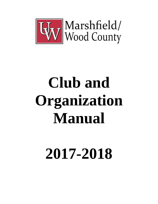

# **Club and Organization Manual**

# **2017-2018**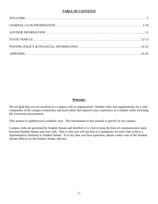# **TABLE OF CONTENTS**

# **Welcome!**

We are glad that you are involved in a campus club or organization! Student clubs and organizations are a vital component of the campus community and teach skills that improve your experience as a student while enriching the University environment.

This manual is updated each academic year. The information in this manual is specific to our campus.

Campus clubs are governed by Student Senate and therefore it is vital to keep the lines of communication open between Student Senate and your club. This is why you will see that it is mandatory for each club to have a representative (Senator) to Student Senate. If at any time you have questions, please contact one of the Student Senate Officers or the Student Senate Advisor.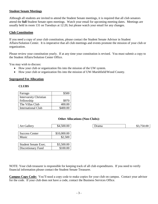#### **Student Senate Meetings**

Although all students are invited to attend the Student Senate meetings, it is required that all club senators attend the **full** Student Senate open meetings. Watch your email for upcoming meeting dates. Meetings are usually held in room 131 on Tuesdays at 12:20, but please watch your email for any changes.

#### **Club Constitution**

If you need a copy of your club constitution, please contact the Student Senate Advisor in Student Affairs/Solution Center. It is imperative that all club meetings and events promote the mission of your club or organization.

Please review your constitution yearly. If at any time your constitution is revised. You must submit a copy to the Student Affairs/Solution Center Office.

You may wish to discuss:

- How your club or organization fits into the mission of the UW system.
- How your club or organization fits into the mission of UW-Marshfield/Wood County.

#### **Segregated Fee Allocation**

#### **CLUBS**

| Farrago                       | \$500    |
|-------------------------------|----------|
| <b>Intervarsity Christian</b> |          |
| Fellowship                    | \$970    |
| The Villas Club               | 400.00   |
| International Club            | \$400.00 |

#### **Other Allocations (Non-Clubs):**

| Drama | \$3,750.00 |
|-------|------------|

| <b>Success Center</b> | \$10,000.00 |
|-----------------------|-------------|
| Music                 | \$2,500     |
|                       |             |
| Student Senate Exec.  | \$3,500.00  |

Discretionary Fund \$100.00

Art Gallery 1. \$4,500.00

NOTE: Your club treasurer is responsible for keeping track of all club expenditures. If you need to verify financial information please contact the Student Senate Treasurer.

**Campus Copy Code:** You'll need a copy code to make copies for your club on campus. Contact your advisor for the code. If your club does not have a code, contact the Business Services Office.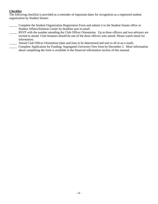# **Checklist**

The following checklist is provided as a reminder of important dates for recognition as a registered student organization by Student Senate:

- \_\_\_\_\_ Complete the Student Organization Registration Form and submit it to the Student Senate office or Student Affairs/Solution Center by deadline sent in email.
- \_\_\_\_\_ RSVP with the number attending the Club Officer Orientation. Up to three officers and two advisors are invited to attend. Club Senators should be one of the three officers who attend. Please watch email for information.
- \_\_\_\_\_ Attend Club Officer Orientation (date and time to be determined and sent to all in an e-mail).
- \_\_\_\_\_ Complete Application for Funding: Segregated University Fees form by December 2. More information about completing the form is available in the financial information section of this manual.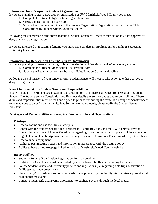# **Information for a Prospective Club or Organization**

If you are planning to start a new club or organization at UW-Marshfield/Wood County you must:

- 1. Complete the Student Organization Registration From.
- 2. Create a constitution for your club.
- 3. Submit the completed originals of the Student Organization Registration Form and your Club Constitution to Student Affairs/Solution Center.

Following the submission of the above materials, Student Senate will meet to take action to either approve or deny the new club registration.

If you are interested in requesting funding you must also complete an Application for Funding: Segregated University Fees form.

# **Information for Renewing an Existing Club or Organization**

If you are planning to renew an existing club or organization at UW-Marshfield/Wood County you must:

- 1. Complete the Student Organization Registration From.
- 2. Submit the Registration form to Student Affairs/Solution Center by deadline.

Following the submission of your renewal form, Student Senate will meet to take action to either approve or deny the registration.

# **Your Club's Senator to Student Senate and Responsibilities**

You will note on the Student Organization Registration Form that there is a request for a Senator to Student Senate. The Student Senate Constitution and By-Laws details the Senator duties and responsibilities. These duties and responsibilities must be read and agreed to prior to submitting the form. If a change of Senator needs to be made due to a conflict with the Student Senate meeting schedule, please notify the Student Senate President.

# **Privileges and Responsibilities of Recognized Student Clubs and Organizations**

# *Privileges*

- Reserve rooms and use facilities on campus
- Confer with the Student Senate Vice President for Public Relations and the UW-Marshfield/Wood County Student Life and Events Coordinator regarding promotion of your campus activities and events
- Eligible to complete the Application for Funding: Segregated University Fees form (due by December 2)
- Reserve media equipment
- Ability to post meeting notices and information in accordance with the posting policy
- Ability to have a club webpage linked to the UW–Marshfield/Wood County website

# *Responsibilities*

- Submit a Student Organization Registration Form by deadline
- Club Officer Orientation must be attended by at least two club officers, including the Senator
- Follow Student Senate and University policies and regulations (i.e. regarding field trips, reservation of facilities/media equipment, etc)
- Have faculty/Staff advisor (or substitute advisor appointed by the faculty/Staff advisor) present at all club-sponsored events
- Contact Student Life and Events Coordinator to publicize events through the local media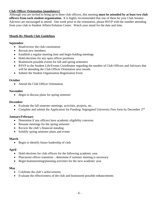# **Club Officer Orientation (mandatory)**

Although you are invited to bring up to three club officers, this meeting **must be attended by at least two club officers from each student organization**. It is highly recommended that one of these be your Club Senator. Advisors are encouraged to attend. One week prior to the orientation, please RSVP with the number attending from your club to Student Affairs/Solution Center. Watch your email for the date and time.

# **Month-By-Month Club Guidelines**

# **September**

- Read/review the club constitution
- Recruit new members
- Establish a regular meeting time and begin holding meetings
- Hold elections for any open officer positions
- Brainstorm possible events for fall and spring semesters
- RSVP to the Student Life/Events Coordinator regarding the number of Club Officers and Advisors that will be attending the Club Officer Orientation next month.
- Submit the Student Organization Registration Form

# **October**

• Attend the Club Officer Orientation

# **November**

• Begin to discuss plans for spring semester

#### **December**

- Evaluate the fall semester meetings, activities, projects, etc.
- Complete and submit the Application for Funding: Segregated University Fees form by December 2nd

# **January/February**

- Determine if any officers have academic eligibility concerns
- Resume meetings for the spring semester
- Review the club's financial standing
- Solidify spring semester plans and events

# **March**

• Begin to identify future leadership of club

# **April**

- Hold elections for club officers for the following academic year
- Plan/assist officer transition determine if summer meeting is necessary
- Begin brainstorming/planning activities for the next academic year

# **May**

- Celebrate the club's achievements
- Evaluate the effectiveness of the club and brainstorm possible enhancements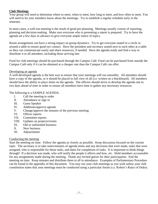# **Club Meetings**

Your group will need to determine where to meet, when to meet, how long to meet, and how often to meet. You will need to let your members know about the meetings. Try to establish a regular schedule early in the semester.

In most cases, a well-run meeting is the result of good pre-planning. Meetings usually consist of reporting, planning and decision-making. Make sure everyone who is presenting a report is prepared. Try to have the agenda set a few days in advance to give everyone ample notice of topics.

Room arrangement can have a strong impact on group dynamics. Try to get everyone seated in a circle or around a table to ensure good eye contact. Have the president and secretary seated next to each other at a table so they can communicate easily and share resources, if needed. Have the agenda ready and find a way to distribute it to all attendees, including those arriving late.

Food for club meetings should be purchased through the Campus Café. Food can be purchased from outside the Campus Café only if it can be obtained at a cheaper rate than the Campus Café can offer.

# Developing an agenda

A well-developed agenda is the best way to ensure that your meetings will run smoothly. All attendees should have a copy of the agenda, or it should be placed in full view of all (i.e. written on a blackboard). All members should have the ability to place items on the agenda. The officers should strive to develop the agenda one to two days ahead of time in order to ensure all members have time to gather any necessary resources.

# The following is a SAMPLE AGENDA:

- I. Call the meeting to order
- II. Attendance or sign in
- III. Guest Speaker
- IV. Additions/approve agenda
- V. Change/approve the minutes of the previous meeting
- VI. Officer reports
- VII. Committee reports
- VIII. Updates on projects/events
- IX. Old or unfinished business
- X. New business
- XI. Adjournment

# Conducting the meeting

Start the meeting on time. Follow the agenda as closely as possible. Keep discussion focused on the current topic. The secretary is to take notes/minutes of agenda items and any decisions that were made, tasks that were assigned, who is responsible for those tasks, and dates for completion of tasks. It is important to think things through! If a decision was made, who will notify the people it affects and how, etc. Hold members accountable for any assignments made during the meeting. Thank any invited guests for their participation. End the meeting on time. Keep minutes and distribute them to all in attendance. Examples of Parliamentary Procedure can be found in the appendix of this document. You may run your club meetings as you wish unless your club constitution states that your meetings must be conducted using a particular forum (i.e. Robert's Rules of Order).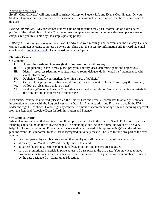#### Advertising meetings

*Email:* Club Officer(s) will send email to Ashley Masephol-Student Life and Events Coordinator. On your Student Organization Registration Form please note with an asterisk which club officers have been chosen for this task.

*Posting Information:* Any recognized student club or organization may post information on a designated portion of the bulletin board in the Crossways near the upper Commons. You may also hang posters around campus, but you must abide by the campus posting policy.

*Hallway TV's & Campus Computer Screens:* To advertise your meetings and/or events on the hallway TV's or campus computer screens, complete a PowerPoint slide with the necessary information and forward via email attachment to [Anna Komenecki,](mailto:anna.komenecki@uwc.edu) Campus Administrative Specialist.

# **Planning Events**

On Campus

- I. Assess the needs and interests (brainstorm, word of mouth, survey)
- II. Begin planning (dates, times, place, program, solidify ideas, determine goals and objectives)
- III. Identify resources (determine budget, reserve room, delegate duties, email msf-maintenance with event information)
- IV. Publicize (identify your market, determine types of publicity)
- V. Carry out the program (confirm everything!, greet guests, make introductions, enjoy the program)
- VI. Follow-up (clean up, thank you notes)
- VII. Evaluate (Were objectives met? Did attendance meet expectations? Were participants interested? Is the program suitable to repeat in some way?

If an outside contract is involved, please alert the Student Life and Events Coordinator to obtain preliminary information and work with the Regional Associate Dean for Administration and Finance to obtain the UW Rider and sign the contract. Do not sign any contracts without first communicating with and receiving approval from the Regional Associate Dean for Administration and Finance.

# **Off Campus Events**

When planning an event that will take you off campus, please refer to the Student Senate Field Trip Policy and Planning Guide found on the following pages. The planning guide includes a timeline which will be very helpful to follow. Continuing Education will work with a designated club representative(s) and the advisor to plan the event. It is important to note that if segregated university fees will be used to fund any part of the event you must

- be accompanied by a club advisor or another faculty or staff member in lieu of the club advisor
- allow any UW-Marshfield/Wood County student to attend
- advertise the trip to all students (email, hallway monitors and posters are suggested)
- have all promotional materials in place at least 10 days prior to the trip date. You may need to have promotional materials in place much sooner than that in order to hit your break even number of students by the date designated by Continuing Education.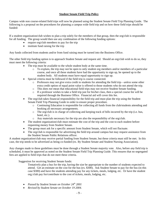#### **Student Senate Field Trip Policy**

Campus wide non course-related field trips will now be planned using the Student Senate Field Trip Planning Guide. The following is a proposal on the procedures for planning a campus wide field trip and on how these field trips should be funded:

If a student organization/club wishes to plan a trip solely for the members of that group, then the org/club is responsible for all funding. The group would then use any combination of the following funding options:

- require org/club members to pay for the trip
- institute fund raising for the trip

Any funds collected from students and/or from fund raising must be turned into the Business Office.

The other field trip funding option is to approach Student Senate and request aid. Should an org/club wish to do so, they must meet the following criteria:

- The trip must be available to the whole student body at the same time.
	- o To explain, the trip may not be open to only student org members and/or members of a particular course, and once all these students have had the opportunity to sign up, be opened up to the student body. All students must have equal opportunity to sign up.
- Special criteria must be followed if the field trip is course connected.
	- o Professors may not give extra credit to students for attending the field trip—*unless* some other extra credit option of equal point value is offered to those students who do not attend the trip.
	- o This does *not* mean that educational field trips may not receive Student Senate funding.
	- o If a professor wishes to take a field trip just for his/her class, then a special course fee will be required through the Business Office. Financial aid will cover this fee.
- The org/club takes financial responsibility for the field trip and must plan the trip using the Student Senate Field Trip Planning Guide in order to ensure proper procedure.
	- o Continuing Education is responsible for collecting all funds from the club/students attending and booking all necessary arrangements.
	- o The org/club is in charge of collecting and keeping track of bills incurred by the trip (i.e. bus, hotel, etc.).
	- o Any materials necessary for the trip are also the responsibility of the org/club.
- The student organization/club must estimate the cost of the trip and the cost to each student before requesting money from Student Senate.
- The group must ask for a specific amount from Student Senate, which will not fluctuate.
- The org/club is responsible for advertising the field trip around campus but may request assistance from the Student Senate Public Relations officer.

A student organization/club may receive partial funding from Student Senate, but these criteria must still be met. In this case, the trip needs to be advertised as being co-funded (ex. By Student Senate and Student Nursing Association).

Any changes made to these guidelines must be done through a Student Senate majority vote. Also, before *any* field trip is scheduled, it must be approved as noted on the Student Senate Field Trip Planning Guide. This ensures that no segregated fees are applied to field trips that do not meet these criteria.

Suggestion for receiving Student Senate funds:

Tentatively plan a bus for the trip, having the size be appropriate to the number of students expected to attend. Get an estimate on the cost for the bus (ex. \$300). Ask Student Senate to pay for the bus (in this case \$300) and have the students attending pay for any tickets, meals, lodging, etc. Or have the student org./club pay for/contribute to the cost of tickets, meals, lodging, etc.

- *Passed by Student Senate on October 24th 2001*
- *Revised by Student Senate on October 19 2004.*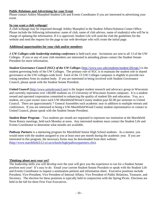# **Public Relations and Advertising for your Event**

Please contact Ashley Masephol-Student Life and Events Coordinator if you are interested in advertising your event.

# **So you want a club webpage!**

A club webpage may be requested through Ashley Masephol in the Student Affairs/Solution Center Office. Please include the following information: name of club, name of club advisor, name of student(s) who will be in charge of updating the information. If it is approved, Student Life will send the club the guidelines for the website and send the request for the page to our web developer who will create the initial page.

# **Additional opportunities for your club and/or members**

*A UW Colleges-wide leadership training conference* is held each year. Invitations are sent to all 13 of the UW Colleges. If you or any of your club members are interested in attending please contact the Student Senate President for more information.

*Student Governance Council (SGC) of the UW Colleges* [\(http://www.uwc.edu/students/student-life/sgc/\)](http://www.uwc.edu/students/student-life/sgc/) is the student governing body of the UW Colleges. The primary role of SGC is to maintain the student role in shared governance at the UW colleges-wide level. Each of the 13 UW Colleges campuses is eligible to provide two voting members from its student body. If you are interested in being involved with Student Governance Council, please speak with the Student Senate President.

*United Council* [\(http://www.unitedcouncil.net\)](http://www.unitedcouncil.net/) is the largest student research and advocacy group in Wisconsin and currently represents over 140,000 students on 23 University of Wisconsin System campuses. It is a student owned and operated corporation committed to enhancing the quality of student life and education. You, as a student, are a part owner since each UW-Marshfield/Wood County student pays \$2.00 per semester to United Council. There are approximately 7 General Assembles each academic year in addition to multiple retreats and conferences. If you are interested in being a UW-Marshfield/Wood County student representative or contact to United Council, please speak with the Student Senate President.

*Student Rotar Progr***am** – Two students per month are requested to represent our institution at the Marshfield Noon Rotary meetings, held each Monday at noon. Any interested students must contact the Student Life and Events Coordinator to determine what months are available.

**Pathway Partners** is a mentoring program for Marshfield Senior High School students. As a mentor, you would meet with the student assigned to you at least once per month during the academic year. If you are interested in this program, the necessary forms may be downloaded from their website: [\(http://www.marshfield.k12.wi.us/schools/high/pathwaypartners.cfm\)](http://www.marshfield.k12.wi.us/schools/high/pathwaypartners.cfm).

# **Thinking about next year yet?**

The leadership skills you will develop over the year will give you the experience to run for a Student Senate position next year! It's easy to do. Email your current Student Senate President or speak with the Student Life and Events Coordinator to request a nomination petition and information sheet. Executive positions include President, Vice-President, Vice President of Internal Affairs, Vice President of Public Relations, Treasurer, and Secretary. The election for these positions is typically held in conjunction with the Spring Picnic. Elections are held in the fall for three First Year Executives.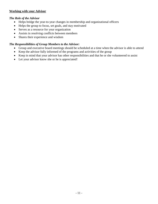# **Working with your Advisor**

# *The Role of the Advisor*

- Helps bridge the year-to-year changes in membership and organizational officers
- Helps the group to focus, set goals, and stay motivated
- Serves as a resource for your organization
- Assists in resolving conflicts between members
- Shares their experience and wisdom

# *The Responsibilities of Group Members to the Advisor:*

- Group and executive board meetings should be scheduled at a time when the advisor is able to attend
- Keep the advisor fully informed of the programs and activities of the group
- Keep in mind that your advisor has other responsibilities and that he or she volunteered to assist
- Let your advisor know she or he is appreciated!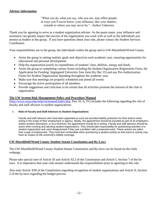# **Advisor Information**

"What you do, what you say, who you are, may affect people in ways you'll never know; your influence, like your shadow, extends to where you may never be." ~Author Unknown

Thank you for agreeing to serve as a student organization advisor. As the poem states, your influence and assistance can greatly impact the success of the organization you work with as well as the individuals you mentor as leaders in the group. If you have questions about your role, please contact the Student Services Coordinator.

Your responsibilities are to the group, the individuals within the group and to UW-Marshfield/Wood County.

- Assist the group in setting realistic goals and objectives each academic year, ensuring opportunities for educational and personal development.
- Help the organization justify its expenditures of students' time, abilities, energy and funds.
- Assist the group in completing various forms including the Student Organization Registration Form, the Application for Funding: Segregated University Fees form (by Dec 15) and any Pre-Authorization Forms for Student Organization Spending throughout the academic year.
- Make sure that meetings are properly scheduled and attend all events
- Encourage the active participation of all members
- Provide suggestions and criticisms to be certain that all activities promote the mission of the club or organization

# **The UW System Risk Management Policy and Procedure Manual**

[\(http://www.uwsa.edu/oslp/rm/manual/index.htm,](http://www.uwsa.edu/oslp/rm/manual/index.htm) Part 10, A, IV) includes the following regarding the role of faculty and staff advisors to student organizations:

#### **I. Role of Faculty and Staff Advisors to Student Organizations:**

Faculty and staff advisors who have been appointed as such are provided liability protection for their actions when acting in the scope of their employment or agency. Ideally, the appointment should be included as part of an employee's written position description, or at a minimum, the appointment should be in writing. Faculty and staff advisors should be active when working and advising student organizations. They should take responsibility for questioning activities of a student organization and voice disagreement if they see a problem with a proposed event. These actions are within their scope of employment. They must feel comfortable when questioning a student activity as that event or activity may have an impact on the university's liability coverage.

#### **UW-Marshfield/Wood County Student Senate Constitution and By-Laws**

The UW-Marshfield/Wood County Student Senate Constitution and By-laws can be found on the clubs webpage.

Please take special note of Article III and Article XI.2 of the Constitution and Article I, Section 7 of the bylaws. It is imperative that your club senator understands the responsibilities prior to agreeing to this role.

Also note Article XIII of the Constitution regarding recognition of student organizations and Article II, Section 2 of the by-laws regarding the budget process.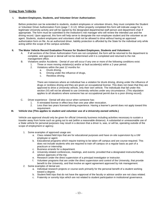#### **Using State Vehicles**

#### **I. Student Employees, Students, and Volunteer Driver Authorization:**

Before protection can be extended to students, student employees or volunteer drivers, they must complete the Student or Volunteer Driver Authorization Form (page 7, D.12). When properly completed this form will indicate usage for a legitimate University activity and will be signed by the designated departmental staff person and department chair if appropriate. The form must be submitted to the institution's risk manager who will review the intended use and the driving record. Upon approval, this form will help serve to designate the non-employee student and the volunteer as an agent. Students, student employees and volunteers shall not be allowed to drive without having an approved authorization form on file. As an authorized driver, liability protection is afforded by the State for the individual only while acting within the scope of the campus activities.

#### **II. The Motor Vehicle Record Evaluation Process for Student Employees, Students and Volunteers:**

- A. If all sections of the Driver Authorization Form are not completed, the form will be returned to the department to complete, and approval or denial will not be determined until it is completed and returned to the risk management office.
- B. Violations and/or Accidents Denial of use will occur if any one or more of the following conditions exist:
	- 1. Three or more moving violation(s) and/or at fault accident(s) within a 2-year period.
		- 2. Violations within the past 12 months for:
			- a. Drunk driving,
				- b. Driving under the influence of drugs,
				- c. Reckless driving.

There are instances where an individual has a violation for drunk driving, driving under the influence of drugs or reckless driving and they are given an occupational license. This does not mean that they are approved to drive a University vehicle, only their own vehicle. The individuals that fall under this section (VI) will not be allowed to use University vehicles under any circumstance. (This stipulation applies to all situations where someone has an occupational permit due to a poor driving record).

- C. Driver experience Denial will also occur when someone has:
	- 1. A reinstated license in effect less than one year after revocation.
	- 2. Less than two years licensed driving experience. Having a learner's permit does not apply toward this requirement.

#### **III. Vehicle Use (This applies to student and volunteer use of a University-owned vehicle.)**

Vehicle use approval should only be given for official University business including activities necessary to sustain a traveler away from home such as going out to eat (within a reasonable distance). A substantial or unreasonable use of a State vehicle for personal purposes may result in a decision that a driver is, was, or will be, operating outside of the scope of employment or agency.

- 1. Some examples of approved usage are:
	- a. Class related field trips that are for educational purposes and have on-site supervision by a UW employee or agent.
	- b. Educational programs which require training to be taken off campus and are course-required. This does not include students who are required to train off campus on a regular basis as part of a practicum or internship.
	- c. Business errands for a department.
	- d. University-related conferences, meetings, and events; provided that a designated instructor/faculty advisor approves of the trip.
	- e. Research under the direct supervision of a principal investigator or instructor.
	- f. Volunteer programs that are under the direct supervision and control of the University, that provide benefit to the University, and that involve an agent agreement approved by risk management.
- 2. Some examples of denial are:
	- a. Individual research projects or course-work primarily for the personal benefit of a student working toward a degree.
	- b. Student field trips that do not have the approval of the faculty or advisor and/or are not class related.
	- c. Fraternity or sorority trips which are not related to student participation in institutional governance.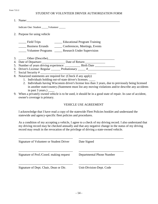#### STUDENT OR VOLUNTEER DRIVER AUTHORIZATION FORM

| Indicate One: Student Volunteer                                                                                                                       |  |  |
|-------------------------------------------------------------------------------------------------------------------------------------------------------|--|--|
| 2. Purpose for using vehicle                                                                                                                          |  |  |
| Field Trips<br><b>Educational Program Training</b><br>Business Errands Conferences, Meetings, Events<br>Volunteer Programs Research Under Supervision |  |  |
|                                                                                                                                                       |  |  |
| 4. Date of Departure: Date of Return:                                                                                                                 |  |  |
| 5. Number of years driving experience: Birth Date Birth Date                                                                                          |  |  |
| 6. Driver's License: Regular ________ Probationary ______ #_____________________                                                                      |  |  |
|                                                                                                                                                       |  |  |
| 8. Notarized statements are required for: (Check if any apply)                                                                                        |  |  |

- 1. Individuals holding out-of-state driver's licenses. \_\_\_\_
	- 2. Individuals having Wisconsin driver's license less than 3 years, due to previously being licensed in another state/country.(Statement must list any moving violations and/or describe any accidents in past 3 years.) \_
- 9. When a privately owned vehicle is to be used, it should be in a good state of repair. In case of accident, owner's coverage is primary.

#### VEHICLE USE AGREEMENT

I acknowledge that I have read a copy of the statewide Fleet Policies booklet and understand the statewide and agency-specific fleet policies and procedures.

As a condition of my accepting a vehicle, I agree to a check of my driving record. I also understand that my driving record may be checked annually and that any negative change in the status of my driving record may result in the revocation of the privilege of driving a state-owned vehicle.

| Signature of Volunteer or Student Driver | Date Signed               |
|------------------------------------------|---------------------------|
| Signature of Prof./Coord. making request | Departmental Phone Number |
| Signature of Dept. Chair, Dean or Dir.   | Unit-Division-Dept. Code  |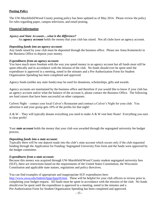# **Posting Policy**

The UW-Marshfield/Wood County posting policy has been updated as of May 2014. Please review the policy for rules regarding paper, campus television, and email posting.

# **Financial Information**

# *Agency and State Accounts…what is the difference?*

An **agency account** holds the money that your club has raised. Not all clubs have an agency account.

#### *Depositing funds into an agency account:*

Any funds raised by your club must be deposited through the business office. Please see Anna Komenecki in the Business Office to deposit your money.

# *Expenditures from an agency account:*

You have much more freedom with the way you spend money in an agency account but all funds must still be spent ethically and in accordance with the mission of the club. No funds should ever be spent until the expenditure is approved in a meeting, noted in the minutes and a Pre-Authorization Form for Student Organization Spending has been completed and approved.

Agency funds (unlike any state funds) may be used for donations, scholarships, gifts and awards.

Agency accounts are maintained by the business office and therefore if you would like to know if your club has an agency account and/or what the balance of the account it, please contact the Business Office. The following are fund raisers that have been successful on other campuses.

Culvers Night – contact your local Culver's Restaurant and contract a Culver's Night for your club. You advertise it and your group gets 10% of the profits for that night!

A & W – They will typically donate everything you need to make A & W root beer floats! Everything you earn is clear profit!

Your *state account* holds the money that your club was awarded through the segregated university fee budget process.

# *Depositing funds into a state account:*

Typically there will be one deposit made into the club's state account which occurs only if the club requested funding through the Application for Funding: Segregated University Fees form and the funds were approved by the budget committee.

# *Expenditures from a state account:*

Because this money was acquired through UW-Marshfield/Wood County student segregated university fees (SUF), there are restrictions based on the requirements of the United States Constitution, the Wisconsin Constitution and applicable state statues, regulations and policy directives.

# You can find examples of appropriate and inappropriate SUF expenditures here:

[http://www.uwsa.edu/fadmin/fppp/fppp50.htm.](http://www.uwsa.edu/fadmin/fppp/fppp50.htm) These will be helpful for your club officers to review prior to completing your budget request. All funds must be spent in accordance with the mission of the club. No funds should ever be spent until the expenditure is approved in a meeting, noted in the minutes and a Pre-Authorization Form for Student Organization Spending has been completed and approved.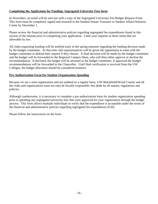# **Completing the Application for Funding: Segregated University Fees form**

In November, an email will be sent out with a copy of the Segregated University Fee Budget Request Form. This form must be completed, signed and returned to the Student Senate Treasurer or Student Affairs/Solution Center by December 1.

Please review the financial and administrative policies regarding segregated fee expenditures found in this section of the manual prior to completing your application. Limit your requests to those items that are allowable by law.

All clubs requesting funding will be notified early in the spring semester regarding the funding decision made by the budget committee. At that time club representatives will be given the opportunity to meet with the budget committee to defend their request if they choose. A final decision will be made by the budget committee and the budget will be forwarded to the Regional Campus Dean, who will then either approve or decline the recommendation. If declined, the budget will be returned to the budget committee, if approved the budget recommendations will be forwarded to the Chancellor. Until final verification is received from the UW Colleges, the budget allocation should be considered tentative.

# **Pre-Authorization Form for Student Organization Spending**

Because we are a state organization and are audited on a regular basis, UW-Marshfield/Wood County and all the clubs and organizations must not only be fiscally responsible, but abide by all statues, regulations and policies.

Although cumbersome, it is necessary to complete a pre-authorization form for student organization spending prior to spending any segregated university fees that were approved for your organization through the budget process. This form allows multiple individuals to verify that the expenditure is acceptable under the terms of the financial and administrative policies regarding segregated fee expenditures (F20).

Please follow the instructions on the form.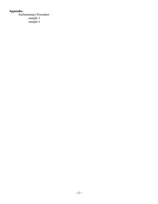# **Appendix:**

Parliamentary Procedure -sample 1 -sample 2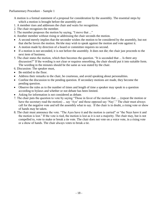A motion is a formal statement of a proposal for consideration by the assembly. The essential steps by which a motion is brought before the assembly are:

- 1. A member rises and addresses the chair and waits for recognition.
- 2. The chair recognizes the member.
- 3. The member proposes the motion by saying, "I move that ..."
- 4. Another member without rising or addressing the chair seconds the motion.
- A second merely implies that the seconder wishes the motion to be considered by the assembly, but not that she/he favors the motion. He/she may wish to speak against the motion and vote against it.
- A motion made by direction of a board or committee requires no second.
- If a motion is not seconded, it is not before the assembly. It does not die; the chair just proceeds to the next item of business.
- 5. The chair states the motion, which then becomes the question. "It is seconded that ... Is there any discussion?" If the wording is not clear or requires smoothing, the chair should put it into suitable form. The wording in the minutes should be the same as was stated by the chair.
- 6. Discussion: The speaker must,
- Be entitled to the floor.
- Address their remarks to the chair, be courteous, and avoid speaking about personalities.
- Confine the discussion to the pending question. If secondary motions are made, they become the pending question.
- Observe the rules as to the number of times and length of time a speaker may speak to a question according to bylaws and whether or not debate has been limited.
- Asking for information is not considered as debate.
- 7. The chair puts the question to vote by saying "Those in favor of the motion that .... (repeat the motion or have the secretary read the motion) ... say 'Aye' and those opposed say 'Nay'." The chair must always call for the negative vote and tell the assembly what to say. If the chair is in doubt, a rising vote or show of hands may be taken.
- 8. The chair must announce the vote. "The Ayes have it and the motion is carried" or "the Nays have it and the motion is lost." If the vote is tied, the motion is lost as it is not a majority. The chair may, but is not compelled to, vote to make or break a tie vote. The chair does not vote on a voice vote, in a rising vote or a show of hands. The chair always votes to break a tie.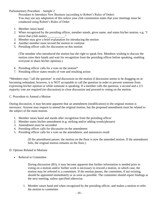# Parliamentary Procedure – Sample 2

Procedure to Introduce New Business (according to Robert's Rules of Order) You may use any adaptation of this unless your club constitution states that your meetings must be conducted using Robert's Rules of Order.

- 1. Member raises hand
- 2. When recognized by the presiding officer, member stands, gives name, and states his/her motion. e.g. "I move that (club name)  $\blacksquare$
- 3. Member may give a brief explanation for introducing the motion
- 4. Another member must second the motion to continue
- 5. Presiding officer calls for discussion on this motion

(The member who introduced the motion has the right to speak first. Members wishing to discuss the motion raise their hands and wait for recognition from the presiding officer before speaking, enabling everyone to share his/her opinions.)

- 6. Presiding officer calls for a vote on the motion\*
- 7. Presiding officer states results of vote and resulting action

\*Members may "call the question" to end discussion on the motion if discussion seems to be dragging on or becoming redundant; however, it is NOT acceptable to call the question in order to prevent someone from expressing his/her opinion or while someone is speaking. If a member calls the question, a second and a 2/3 majority vote are required (no discussion) to close discussion and proceed to voting on the motion.

#### C. Procedure to Amend a Motion

During discussion, it may become apparent that an amendment (modification) to the original motion is necessary. Anyone may request to amend the original motion, but the proposed amendment must be related to the subject of the main motion.

- 1. Member raises hand and stands after recognition from the presiding officer
- 2. Member states his/her amendment (e.g. striking and/or adding words/phrases)
- 3. Amendment must be seconded
- 4. Presiding officer calls for discussion on the amendment
- 5. Presiding officer calls for a vote on the amendment, and announces result

(If the amendment passes, the motion on the floor is now the amended motion. If the amendment fails, the original motion remains on the floor.)

#### D. Options Related to Motions

• Referral to Committee

During discussion (B5), it may become apparent that further information is needed prior to voting on a motion and/or further work is necessary to reword a motion, in which case, the motion may be referred to a committee. If the motion passes, the committee, if not existing, should be appointed immediately or as soon as possible. The committee should report findings at the next meeting, unless specified otherwise.

1. Member raises hand and when recognized by the presiding officer, and makes a motion to refer the motion to committee